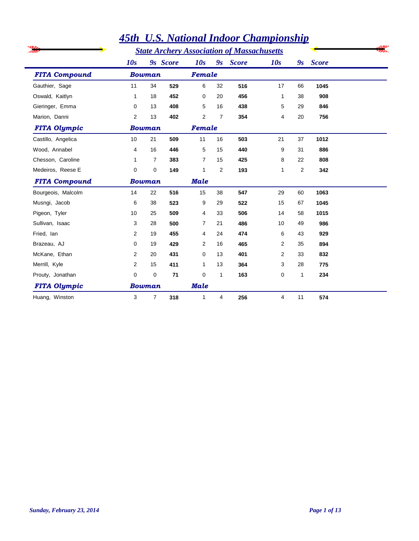|                      |     |               |          |                |                | <u>  тэт С.э. ганонат таоог спатрильнир</u>       |     |                         |              |  |
|----------------------|-----|---------------|----------|----------------|----------------|---------------------------------------------------|-----|-------------------------|--------------|--|
|                      |     |               |          |                |                | <b>State Archery Association of Massachusetts</b> |     |                         |              |  |
|                      | 10s |               | 9s Score | 10s            | 9s             | <b>Score</b>                                      | 10s | $\mathbf{g}_\mathbf{S}$ | <b>Score</b> |  |
| <b>FITA Compound</b> |     | <b>Bowman</b> |          | Female         |                |                                                   |     |                         |              |  |
| Gauthier, Sage       | 11  | 34            | 529      | 6              | 32             | 516                                               | 17  | 66                      | 1045         |  |
| Oswald, Kaitlyn      | 1   | 18            | 452      | 0              | 20             | 456                                               | 1   | 38                      | 908          |  |
| Gieringer, Emma      | 0   | 13            | 408      | 5              | 16             | 438                                               | 5   | 29                      | 846          |  |
| Marion, Danni        | 2   | 13            | 402      | 2              | 7              | 354                                               | 4   | 20                      | 756          |  |
| <b>FITA Olympic</b>  |     | <b>Bowman</b> |          | Female         |                |                                                   |     |                         |              |  |
| Castillo, Angelica   | 10  | 21            | 509      | 11             | 16             | 503                                               | 21  | 37                      | 1012         |  |
| Wood, Annabel        | 4   | 16            | 446      | 5              | 15             | 440                                               | 9   | 31                      | 886          |  |
| Chesson, Caroline    | 1   | 7             | 383      | $\overline{7}$ | 15             | 425                                               | 8   | 22                      | 808          |  |
| Medeiros, Reese E    | 0   | 0             | 149      | 1              | $\overline{2}$ | 193                                               | 1   | 2                       | 342          |  |
| <b>FITA Compound</b> |     | <b>Bowman</b> |          | <b>Male</b>    |                |                                                   |     |                         |              |  |
| Bourgeois, Malcolm   | 14  | 22            | 516      | 15             | 38             | 547                                               | 29  | 60                      | 1063         |  |
| Musngi, Jacob        | 6   | 38            | 523      | 9              | 29             | 522                                               | 15  | 67                      | 1045         |  |
| Pigeon, Tyler        | 10  | 25            | 509      | 4              | 33             | 506                                               | 14  | 58                      | 1015         |  |
| Sullivan, Isaac      | 3   | 28            | 500      | 7              | 21             | 486                                               | 10  | 49                      | 986          |  |
| Fried, lan           | 2   | 19            | 455      | 4              | 24             | 474                                               | 6   | 43                      | 929          |  |
| Brazeau, AJ          | 0   | 19            | 429      | 2              | 16             | 465                                               | 2   | 35                      | 894          |  |
| McKane, Ethan        | 2   | 20            | 431      | 0              | 13             | 401                                               | 2   | 33                      | 832          |  |
| Merrill, Kyle        | 2   | 15            | 411      | 1              | 13             | 364                                               | 3   | 28                      | 775          |  |
| Prouty, Jonathan     | 0   | $\mathbf 0$   | 71       | $\Omega$       | $\mathbf{1}$   | 163                                               | 0   | $\mathbf{1}$            | 234          |  |
| <b>FITA Olympic</b>  |     | <b>Bowman</b> |          | <b>Male</b>    |                |                                                   |     |                         |              |  |
| Huang, Winston       | 3   | 7             | 318      | 1              | 4              | 256                                               | 4   | 11                      | 574          |  |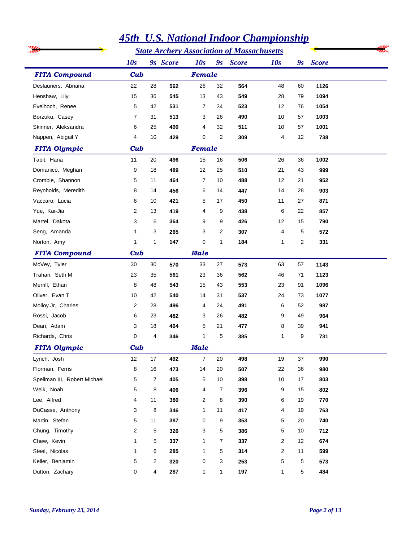|                              |                |                |          |                |                | <b>45th U.S. National Indoor Championship</b>     |              |                           |              |
|------------------------------|----------------|----------------|----------|----------------|----------------|---------------------------------------------------|--------------|---------------------------|--------------|
|                              |                |                |          |                |                | <b>State Archery Association of Massachusetts</b> |              |                           |              |
|                              | 10s            |                | 9s Score | 10s            |                | 9s Score                                          | 10s          | $\mathbf{g}_{\mathbf{S}}$ | <b>Score</b> |
| <b>FITA Compound</b>         | Cub            |                |          | Female         |                |                                                   |              |                           |              |
| Deslauriers, Abriana         | 22             | 28             | 562      | 26             | 32             | 564                                               | 48           | 60                        | 1126         |
| Henshaw, Lily                | 15             | 36             | 545      | 13             | 43             | 549                                               | 28           | 79                        | 1094         |
| Evelhoch, Renee              | 5              | 42             | 531      | 7              | 34             | 523                                               | 12           | 76                        | 1054         |
| Borzuku, Casey               | 7              | 31             | 513      | 3              | 26             | 490                                               | 10           | 57                        | 1003         |
| Skinner, Aleksandra          | 6              | 25             | 490      | 4              | 32             | 511                                               | 10           | 57                        | 1001         |
| Nappen, Abigail Y            | 4              | 10             | 429      | 0              | $\overline{2}$ | 309                                               | 4            | 12                        | 738          |
| <b>FITA Olympic</b>          | Cub            |                |          | Female         |                |                                                   |              |                           |              |
| Tabit, Hana                  | 11             | 20             | 496      | 15             | 16             | 506                                               | 26           | 36                        | 1002         |
| Domanico, Meghan             | 9              | 18             | 489      | 12             | 25             | 510                                               | 21           | 43                        | 999          |
| Crombie, Shannon             | 5              | 11             | 464      | 7              | 10             | 488                                               | 12           | 21                        | 952          |
| Reynholds, Meredith          | 8              | 14             | 456      | 6              | 14             | 447                                               | 14           | 28                        | 903          |
| Vaccaro, Lucia               | 6              | 10             | 421      | 5              | 17             | 450                                               | 11           | 27                        | 871          |
| Yue, Kai-Jia                 | 2              | 13             | 419      | 4              | 9              | 438                                               | 6            | 22                        | 857          |
| Martel, Dakota               | 3              | 6              | 364      | 9              | 9              | 426                                               | 12           | 15                        | 790          |
| Seng, Amanda                 | 1              | 3              | 265      | 3              | 2              | 307                                               | 4            | 5                         | 572          |
| Norton, Amy                  | 1              | 1              | 147      | 0              | $\mathbf{1}$   | 184                                               | 1            | 2                         | 331          |
| <b>FITA Compound</b>         | Cub            |                |          | <b>Male</b>    |                |                                                   |              |                           |              |
| McVey, Tyler                 | 30             | 30             | 570      | 33             | 27             | 573                                               | 63           | 57                        | 1143         |
| Trahan, Seth M               | 23             | 35             | 561      | 23             | 36             | 562                                               | 46           | 71                        | 1123         |
| Merrill, Ethan               | 8              | 48             | 543      | 15             | 43             | 553                                               | 23           | 91                        | 1096         |
| Oliver, Evan T               | 10             | 42             | 540      | 14             | 31             | 537                                               | 24           | 73                        | 1077         |
| Molloy Jr, Charles           | 2              | 28             | 496      | 4              | 24             | 491                                               | 6            | 52                        | 987          |
| Rossi, Jacob                 | 6              | 23             | 482      | 3              | 26             | 482                                               | 9            | 49                        | 964          |
| Dean, Adam                   | 3              | 18             | 464      | 5              | 21             | 477                                               | 8            | 39                        | 941          |
| Richards, Chris              | 0              | 4              | 346      | 1              | 5              | 385                                               | 1            | 9                         | 731          |
| <b>FITA Olympic</b>          | Cub            |                |          | <b>Male</b>    |                |                                                   |              |                           |              |
| Lynch, Josh                  | 12             | 17             | 492      | $\overline{7}$ | 20             | 498                                               | 19           | 37                        | 990          |
| Florman, Ferris              | 8              | 16             | 473      | 14             | 20             | 507                                               | 22           | 36                        | 980          |
| Spellman III, Robert Michael | 5              | 7              | 405      | 5              | 10             | 398                                               | 10           | 17                        | 803          |
| Weik, Noah                   | 5              | 8              | 406      | 4              | $\overline{7}$ | 396                                               | 9            | 15                        | 802          |
| Lee, Alfred                  | 4              | 11             | 380      | 2              | 8              | 390                                               | 6            | 19                        | 770          |
| DuCasse, Anthony             | 3              | 8              | 346      | 1              | 11             | 417                                               | 4            | 19                        | 763          |
| Martin, Stefan               | 5              | 11             | 387      | 0              | 9              | 353                                               | 5            | 20                        | 740          |
| Chung, Timothy               | $\overline{2}$ | 5              | 326      | 3              | 5              | 386                                               | 5            | 10                        | 712          |
| Chew, Kevin                  | 1              | 5              | 337      | 1              | $\overline{7}$ | 337                                               | 2            | 12                        | 674          |
| Steel, Nicolas               | 1              | 6              | 285      | 1              | 5              | 314                                               | 2            | 11                        | 599          |
| Keller, Benjamin             | 5              | $\overline{c}$ | 320      | 0              | $\mathbf{3}$   | 253                                               | 5            | 5                         | 573          |
| Dutton, Zachary              | 0              | 4              | 287      | 1              | $\mathbf{1}$   | 197                                               | $\mathbf{1}$ | 5                         | 484          |

## *Sunday, February 23, 2014 Page 2 of 13*

 $\overline{a}$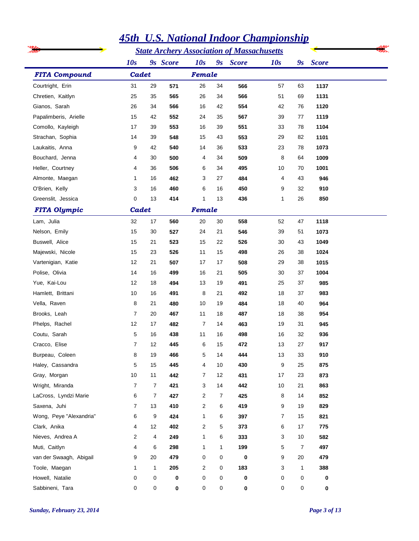|                         | <b>State Archery Association of Massachusetts</b> |                |          |                |                |              |     |                |              |  |
|-------------------------|---------------------------------------------------|----------------|----------|----------------|----------------|--------------|-----|----------------|--------------|--|
|                         | 10s                                               |                | 9s Score | 10s            | 9s             | <b>Score</b> | 10s | 9s             | <b>Score</b> |  |
| <b>FITA Compound</b>    | Cadet                                             |                |          | Female         |                |              |     |                |              |  |
| Courtright, Erin        | 31                                                | 29             | 571      | 26             | 34             | 566          | 57  | 63             | 1137         |  |
| Chretien, Kaitlyn       | 25                                                | 35             | 565      | 26             | 34             | 566          | 51  | 69             | 1131         |  |
| Gianos, Sarah           | 26                                                | 34             | 566      | 16             | 42             | 554          | 42  | 76             | 1120         |  |
| Papalimberis, Arielle   | 15                                                | 42             | 552      | 24             | 35             | 567          | 39  | 77             | 1119         |  |
| Comollo, Kayleigh       | 17                                                | 39             | 553      | 16             | 39             | 551          | 33  | 78             | 1104         |  |
| Strachan, Sophia        | 14                                                | 39             | 548      | 15             | 43             | 553          | 29  | 82             | 1101         |  |
| Laukaitis, Anna         | 9                                                 | 42             | 540      | 14             | 36             | 533          | 23  | 78             | 1073         |  |
| Bouchard, Jenna         | 4                                                 | 30             | 500      | 4              | 34             | 509          | 8   | 64             | 1009         |  |
| Heller, Courtney        | 4                                                 | 36             | 506      | 6              | 34             | 495          | 10  | 70             | 1001         |  |
| Almonte, Maegan         | 1                                                 | 16             | 462      | 3              | 27             | 484          | 4   | 43             | 946          |  |
| O'Brien, Kelly          | 3                                                 | 16             | 460      | 6              | 16             | 450          | 9   | 32             | 910          |  |
| Greenslit, Jessica      | 0                                                 | 13             | 414      | 1              | 13             | 436          | 1   | 26             | 850          |  |
| <b>FITA Olympic</b>     | Cadet                                             |                |          | Female         |                |              |     |                |              |  |
| Lam, Julia              | 32                                                | 17             | 560      | 20             | 30             | 558          | 52  | 47             | 1118         |  |
| Nelson, Emily           | 15                                                | 30             | 527      | 24             | 21             | 546          | 39  | 51             | 1073         |  |
| Buswell, Alice          | 15                                                | 21             | 523      | 15             | 22             | 526          | 30  | 43             | 1049         |  |
| Majewski, Nicole        | 15                                                | 23             | 526      | 11             | 15             | 498          | 26  | 38             | 1024         |  |
| Vartenigian, Katie      | 12                                                | 21             | 507      | 17             | 17             | 508          | 29  | 38             | 1015         |  |
| Polise, Olivia          | 14                                                | 16             | 499      | 16             | 21             | 505          | 30  | 37             | 1004         |  |
| Yue, Kai-Lou            | 12                                                | 18             | 494      | 13             | 19             | 491          | 25  | 37             | 985          |  |
| Hamlett, Brittani       | 10                                                | 16             | 491      | 8              | 21             | 492          | 18  | 37             | 983          |  |
| Vella, Raven            | 8                                                 | 21             | 480      | 10             | 19             | 484          | 18  | 40             | 964          |  |
| Brooks, Leah            | 7                                                 | 20             | 467      | 11             | 18             | 487          | 18  | 38             | 954          |  |
| Phelps, Rachel          | 12                                                | 17             | 482      | $\overline{7}$ | 14             | 463          | 19  | 31             | 945          |  |
| Coutu, Sarah            | 5                                                 | 16             | 438      | 11             | 16             | 498          | 16  | 32             | 936          |  |
| Cracco, Elise           | $\overline{7}$                                    | 12             | 445      | 6              | 15             | 472          | 13  | 27             | 917          |  |
| Burpeau, Coleen         | 8                                                 | 19             | 466      | 5              | 14             | 444          | 13  | 33             | 910          |  |
| Haley, Cassandra        | 5                                                 | 15             | 445      | 4              | 10             | 430          | 9   | 25             | 875          |  |
| Gray, Morgan            | 10                                                | 11             | 442      | 7              | 12             | 431          | 17  | 23             | 873          |  |
| Wright, Miranda         | 7                                                 | $\overline{7}$ | 421      | 3              | 14             | 442          | 10  | 21             | 863          |  |
| LaCross, Lyndzi Marie   | 6                                                 | $\overline{7}$ | 427      | 2              | $\overline{7}$ | 425          | 8   | 14             | 852          |  |
| Saxena, Juhi            | 7                                                 | 13             | 410      | 2              | 6              | 419          | 9   | 19             | 829          |  |
| Wong, Peye "Alexandria" | 6                                                 | 9              | 424      | 1              | 6              | 397          | 7   | 15             | 821          |  |
| Clark, Anika            | 4                                                 | 12             | 402      | 2              | 5              | 373          | 6   | 17             | 775          |  |
| Nieves, Andrea A        | 2                                                 | 4              | 249      | 1              | 6              | 333          | 3   | 10             | 582          |  |
| Muti, Caitlyn           | 4                                                 | 6              | 298      | 1              | $\mathbf{1}$   | 199          | 5   | $\overline{7}$ | 497          |  |
| van der Swaagh, Abigail | 9                                                 | 20             | 479      | 0              | 0              | 0            | 9   | 20             | 479          |  |
| Toole, Maegan           | 1                                                 | $\mathbf{1}$   | 205      | 2              | 0              | 183          | 3   | 1              | 388          |  |
| Howell, Natalie         | 0                                                 | $\pmb{0}$      | 0        | 0              | 0              | 0            | 0   | 0              | 0            |  |
| Sabbineni, Tara         | 0                                                 | 0              | 0        | 0              | 0              | 0            | 0   | 0              | 0            |  |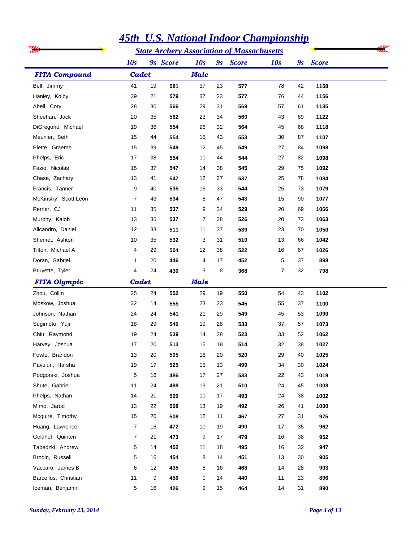|                       |                | <b>State Archery Association of Massachusetts</b> |          |             |    |              |     |                           |              |  |
|-----------------------|----------------|---------------------------------------------------|----------|-------------|----|--------------|-----|---------------------------|--------------|--|
|                       | 10s            |                                                   | 9s Score | 10s         | 9s | <b>Score</b> | 10s | $\mathbf{g}_{\mathbf{S}}$ | <b>Score</b> |  |
| <b>FITA Compound</b>  | Cadet          |                                                   |          | <b>Male</b> |    |              |     |                           |              |  |
| Bell, Jimmy           | 41             | 19                                                | 581      | 37          | 23 | 577          | 78  | 42                        | 1158         |  |
| Hanley, Kolby         | 39             | 21                                                | 579      | 37          | 23 | 577          | 76  | 44                        | 1156         |  |
| Abell, Cory           | 28             | 30                                                | 566      | 29          | 31 | 569          | 57  | 61                        | 1135         |  |
| Sheehan, Jack         | 20             | 35                                                | 562      | 23          | 34 | 560          | 43  | 69                        | 1122         |  |
| DiGregorio, Michael   | 19             | 36                                                | 554      | 26          | 32 | 564          | 45  | 68                        | 1118         |  |
| Meunier, Seth         | 15             | 44                                                | 554      | 15          | 43 | 553          | 30  | 87                        | 1107         |  |
| Piette, Graeme        | 15             | 39                                                | 549      | 12          | 45 | 549          | 27  | 84                        | 1098         |  |
| Phelps, Eric          | 17             | 38                                                | 554      | 10          | 44 | 544          | 27  | 82                        | 1098         |  |
| Fazio, Nicolas        | 15             | 37                                                | 547      | 14          | 38 | 545          | 29  | 75                        | 1092         |  |
| Chase, Zachary        | 13             | 41                                                | 547      | 12          | 37 | 537          | 25  | 78                        | 1084         |  |
| Francis, Tanner       | 9              | 40                                                | 535      | 16          | 33 | 544          | 25  | 73                        | 1079         |  |
| McKinstry, Scott Leon | 7              | 43                                                | 534      | 8           | 47 | 543          | 15  | 90                        | 1077         |  |
| Perrier, CJ           | 11             | 35                                                | 537      | 9           | 34 | 529          | 20  | 69                        | 1066         |  |
| Murphy, Kalob         | 13             | 35                                                | 537      | 7           | 38 | 526          | 20  | 73                        | 1063         |  |
| Alicandro, Daniel     | 12             | 33                                                | 511      | 11          | 37 | 539          | 23  | 70                        | 1050         |  |
| Shemet, Ashton        | 10             | 35                                                | 532      | 3           | 31 | 510          | 13  | 66                        | 1042         |  |
| Tilton, Michael A     | 4              | 29                                                | 504      | 12          | 38 | 522          | 16  | 67                        | 1026         |  |
| Doran, Gabriel        | 1              | 20                                                | 446      | 4           | 17 | 452          | 5   | 37                        | 898          |  |
| Bruyette, Tyler       | 4              | 24                                                | 430      | 3           | 8  | 368          | 7   | 32                        | 798          |  |
| <b>FITA Olympic</b>   | Cadet          |                                                   |          | <b>Male</b> |    |              |     |                           |              |  |
| Zhou, Collin          | 25             | 24                                                | 552      | 29          | 19 | 550          | 54  | 43                        | 1102         |  |
| Moskow, Joshua        | 32             | 14                                                | 555      | 23          | 23 | 545          | 55  | 37                        | 1100         |  |
| Johnson, Nathan       | 24             | 24                                                | 541      | 21          | 29 | 549          | 45  | 53                        | 1090         |  |
| Sugimoto, Yuji        | 18             | 29                                                | 540      | 19          | 28 | 533          | 37  | 57                        | 1073         |  |
| Chiu, Raymond         | 19             | 24                                                | 539      | 14          | 28 | 523          | 33  | 52                        | 1062         |  |
| Harvey, Joshua        | 17             | 20                                                | 513      | 15          | 18 | 514          | 32  | 38                        | 1027         |  |
| Fowle, Brandon        | 13             | 20                                                | 505      | 16          | 20 | 520          | 29  | 40                        | 1025         |  |
| Pavuluri, Harsha      | 19             | 17                                                | 525      | 15          | 13 | 499          | 34  | 30                        | 1024         |  |
| Podgorski, Joshua     | 5              | 16                                                | 486      | 17          | 27 | 533          | 22  | 43                        | 1019         |  |
| Shute, Gabriel        | 11             | 24                                                | 498      | 13          | 21 | 510          | 24  | 45                        | 1008         |  |
| Phelps, Nathan        | 14             | 21                                                | 509      | 10          | 17 | 493          | 24  | 38                        | 1002         |  |
| Mimo, Jarod           | 13             | 22                                                | 508      | 13          | 19 | 492          | 26  | 41                        | 1000         |  |
| Mcguire, Timothy      | 15             | 20                                                | 508      | 12          | 11 | 467          | 27  | 31                        | 975          |  |
| Huang, Lawrence       | $\overline{7}$ | 16                                                | 472      | 10          | 19 | 490          | 17  | 35                        | 962          |  |
| Geldhof, Quinten      | 7              | 21                                                | 473      | 9           | 17 | 479          | 16  | 38                        | 952          |  |
| Tabedzki, Andrew      | 5              | 14                                                | 452      | 11          | 18 | 495          | 16  | 32                        | 947          |  |
| Brodin, Russell       | 5              | 16                                                | 454      | 8           | 14 | 451          | 13  | 30                        | 905          |  |
| Vaccaro, James B      | 6              | 12                                                | 435      | 8           | 16 | 468          | 14  | 28                        | 903          |  |
| Barcellos, Christian  | 11             | 9                                                 | 456      | 0           | 14 | 440          | 11  | 23                        | 896          |  |
| Iceman, Benjamin      | 5              | 16                                                | 426      | 9           | 15 | 464          | 14  | 31                        | 890          |  |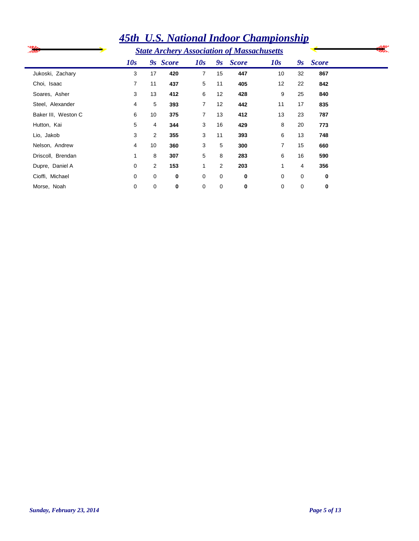|                     |                |                |          |                |                | 45th U.S. National Indoor Championship            |                |          |              |  |
|---------------------|----------------|----------------|----------|----------------|----------------|---------------------------------------------------|----------------|----------|--------------|--|
|                     |                |                |          |                |                | <b>State Archery Association of Massachusetts</b> |                |          |              |  |
|                     | 10s            |                | 9s Score | 10s            | 9s             | <b>Score</b>                                      | 10s            | 9s       | <b>Score</b> |  |
| Jukoski, Zachary    | 3              | 17             | 420      | $\overline{7}$ | 15             | 447                                               | 10             | 32       | 867          |  |
| Choi, Isaac         | $\overline{7}$ | 11             | 437      | 5              | 11             | 405                                               | 12             | 22       | 842          |  |
| Soares, Asher       | 3              | 13             | 412      | 6              | 12             | 428                                               | 9              | 25       | 840          |  |
| Steel, Alexander    | 4              | 5              | 393      | $\overline{7}$ | 12             | 442                                               | 11             | 17       | 835          |  |
| Baker III, Weston C | 6              | 10             | 375      | $\overline{7}$ | 13             | 412                                               | 13             | 23       | 787          |  |
| Hutton, Kai         | 5              | 4              | 344      | 3              | 16             | 429                                               | 8              | 20       | 773          |  |
| Lio, Jakob          | 3              | $\overline{2}$ | 355      | 3              | 11             | 393                                               | 6              | 13       | 748          |  |
| Nelson, Andrew      | 4              | 10             | 360      | 3              | 5              | 300                                               | $\overline{7}$ | 15       | 660          |  |
| Driscoll, Brendan   | 1              | 8              | 307      | 5              | 8              | 283                                               | 6              | 16       | 590          |  |
| Dupre, Daniel A     | 0              | 2              | 153      | 1              | $\overline{2}$ | 203                                               | 1              | 4        | 356          |  |
| Cioffi, Michael     | $\Omega$       | 0              | 0        | 0              | 0              | 0                                                 | $\Omega$       | $\Omega$ | 0            |  |
| Morse, Noah         | 0              | 0              | 0        | 0              | 0              | 0                                                 | 0              | 0        | 0            |  |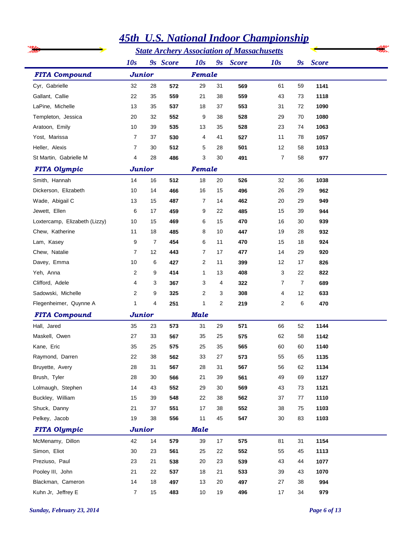|                               |                |                |          |             |                | <b>State Archery Association of Massachusetts</b> |                |                |              |  |
|-------------------------------|----------------|----------------|----------|-------------|----------------|---------------------------------------------------|----------------|----------------|--------------|--|
|                               | 10s            |                | 9s Score | 10s         |                | 9s Score                                          | 10s            | 9s             | <b>Score</b> |  |
| <b>FITA Compound</b>          | <b>Junior</b>  |                |          | Female      |                |                                                   |                |                |              |  |
| Cyr, Gabrielle                | 32             | 28             | 572      | 29          | 31             | 569                                               | 61             | 59             | 1141         |  |
| Gallant, Callie               | 22             | 35             | 559      | 21          | 38             | 559                                               | 43             | 73             | 1118         |  |
| LaPine, Michelle              | 13             | 35             | 537      | 18          | 37             | 553                                               | 31             | 72             | 1090         |  |
| Templeton, Jessica            | 20             | 32             | 552      | 9           | 38             | 528                                               | 29             | 70             | 1080         |  |
| Aratoon, Emily                | 10             | 39             | 535      | 13          | 35             | 528                                               | 23             | 74             | 1063         |  |
| Yost, Marissa                 | 7              | 37             | 530      | 4           | 41             | 527                                               | 11             | 78             | 1057         |  |
| Heller, Alexis                | $\overline{7}$ | 30             | 512      | 5           | 28             | 501                                               | 12             | 58             | 1013         |  |
| St Martin, Gabrielle M        | 4              | 28             | 486      | 3           | 30             | 491                                               | $\overline{7}$ | 58             | 977          |  |
| <b>FITA Olympic</b>           | Junior         |                |          | Female      |                |                                                   |                |                |              |  |
| Smith, Hannah                 | 14             | 16             | 512      | 18          | 20             | 526                                               | 32             | 36             | 1038         |  |
| Dickerson, Elizabeth          | 10             | 14             | 466      | 16          | 15             | 496                                               | 26             | 29             | 962          |  |
| Wade, Abigail C               | 13             | 15             | 487      | 7           | 14             | 462                                               | 20             | 29             | 949          |  |
| Jewett, Ellen                 | 6              | 17             | 459      | 9           | 22             | 485                                               | 15             | 39             | 944          |  |
| Loxtercamp, Elizabeth (Lizzy) | 10             | 15             | 469      | 6           | 15             | 470                                               | 16             | 30             | 939          |  |
| Chew, Katherine               | 11             | 18             | 485      | 8           | 10             | 447                                               | 19             | 28             | 932          |  |
| Lam, Kasey                    | 9              | $\overline{7}$ | 454      | 6           | 11             | 470                                               | 15             | 18             | 924          |  |
| Chew, Natalie                 | 7              | 12             | 443      | 7           | 17             | 477                                               | 14             | 29             | 920          |  |
| Davey, Emma                   | 10             | 6              | 427      | 2           | 11             | 399                                               | 12             | 17             | 826          |  |
| Yeh, Anna                     | 2              | 9              | 414      | 1           | 13             | 408                                               | 3              | 22             | 822          |  |
| Clifford, Adele               | 4              | 3              | 367      | 3           | 4              | 322                                               | 7              | $\overline{7}$ | 689          |  |
| Sadowski, Michelle            | 2              | 9              | 325      | 2           | 3              | 308                                               | 4              | 12             | 633          |  |
| Flegenheimer, Quynne A        | 1              | 4              | 251      | 1           | $\overline{2}$ | 219                                               | 2              | 6              | 470          |  |
| <b>FITA Compound</b>          | Junior         |                |          | <b>Male</b> |                |                                                   |                |                |              |  |
| Hall, Jared                   | 35             | 23             | 573      | 31          | 29             | 571                                               | 66             | 52             | 1144         |  |
| Maskell, Owen                 | 27             | 33             | 567      | 35          | 25             | 575                                               | 62             | 58             | 1142         |  |
| Kane, Eric                    | 35             | 25             | 575      | 25          | 35             | 565                                               | 60             | 60             | 1140         |  |
| Raymond, Darren               | 22             | 38             | 562      | 33          | 27             | 573                                               | 55             | 65             | 1135         |  |
| Bruyette, Avery               | 28             | 31             | 567      | 28          | 31             | 567                                               | 56             | 62             | 1134         |  |
| Brush, Tyler                  | 28             | 30             | 566      | 21          | 39             | 561                                               | 49             | 69             | 1127         |  |
| Lolmaugh, Stephen             | 14             | 43             | 552      | 29          | 30             | 569                                               | 43             | 73             | 1121         |  |
| Buckley, William              | 15             | 39             | 548      | 22          | 38             | 562                                               | 37             | 77             | 1110         |  |
| Shuck, Danny                  | 21             | 37             | 551      | 17          | 38             | 552                                               | 38             | 75             | 1103         |  |
| Pelkey, Jacob                 | 19             | 38             | 556      | 11          | 45             | 547                                               | 30             | 83             | 1103         |  |
| <b>FITA Olympic</b>           | Junior         |                |          | <b>Male</b> |                |                                                   |                |                |              |  |
| McMenamy, Dillon              | 42             | 14             | 579      | 39          | 17             | 575                                               | 81             | 31             | 1154         |  |
| Simon, Eliot                  | 30             | 23             | 561      | 25          | 22             | 552                                               | 55             | 45             | 1113         |  |
| Preziuso, Paul                | 23             | 21             | 538      | 20          | 23             | 539                                               | 43             | 44             | 1077         |  |
| Pooley III, John              | 21             | 22             | 537      | 18          | 21             | 533                                               | 39             | 43             | 1070         |  |
| Blackman, Cameron             | 14             | 18             | 497      | 13          | 20             | 497                                               | 27             | 38             | 994          |  |
| Kuhn Jr, Jeffrey E            | $\overline{7}$ | 15             | 483      | $10$        | 19             | 496                                               | 17             | 34             | 979          |  |

### *Sunday, February 23, 2014 Page 6 of 13*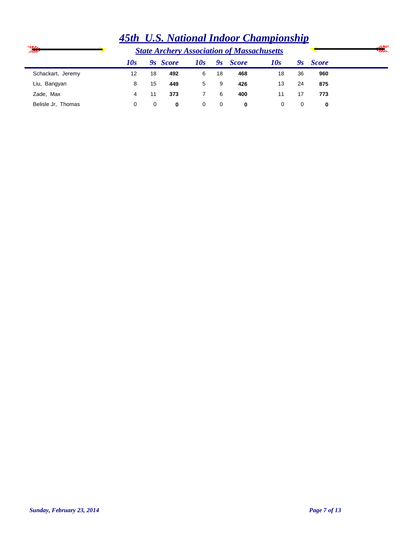|                    | <u>1900 C.S. Francoma Hawool Champtonship</u> |    |          |     |                 |                                                   |     |    |              |                      |
|--------------------|-----------------------------------------------|----|----------|-----|-----------------|---------------------------------------------------|-----|----|--------------|----------------------|
| ⋙                  |                                               |    |          |     |                 | <b>State Archery Association of Massachusetts</b> |     |    |              | سي<br><b>Seconds</b> |
|                    | 10s                                           |    | 9s Score | 10s | $\mathcal{Y}_S$ | <b>Score</b>                                      | 10s | 9ѕ | <b>Score</b> |                      |
| Schackart, Jeremy  | 12                                            | 18 | 492      | 6   | 18              | 468                                               | 18  | 36 | 960          |                      |
| Liu, Bangyan       | 8                                             | 15 | 449      | 5   | 9               | 426                                               | 13  | 24 | 875          |                      |
| Zade, Max          | 4                                             |    | 373      |     | 6               | 400                                               | 11  | 17 | 773          |                      |
| Belisle Jr. Thomas | 0                                             | 0  | 0        | 0   | 0               | 0                                                 | 0   |    | 0            |                      |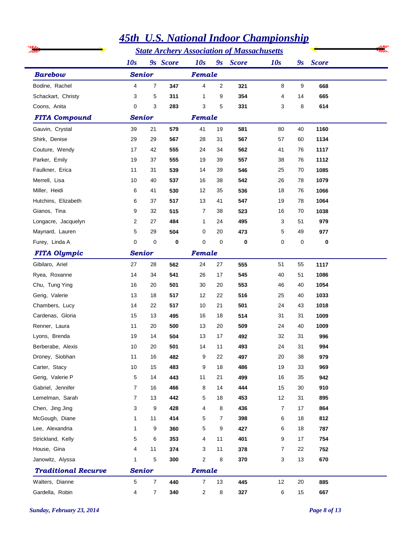|                            |                         |                | <b>45th U.S. National Indoor Championship</b> |                |                         |                                                   |                |    |                      |  |
|----------------------------|-------------------------|----------------|-----------------------------------------------|----------------|-------------------------|---------------------------------------------------|----------------|----|----------------------|--|
|                            |                         |                |                                               |                |                         | <b>State Archery Association of Massachusetts</b> |                |    |                      |  |
|                            | 10s                     |                | 9s Score                                      | 10s            |                         | 9 <sub>s</sub> Score                              | 10s            |    | 9 <sub>s</sub> Score |  |
| <b>Barebow</b>             | <b>Senior</b>           |                |                                               | Female         |                         |                                                   |                |    |                      |  |
| Bodine, Rachel             | $\overline{\mathbf{4}}$ | 7              | 347                                           | 4              | $\overline{\mathbf{c}}$ | 321                                               | 8              | 9  | 668                  |  |
| Schackart, Christy         | 3                       | 5              | 311                                           | 1              | 9                       | 354                                               | $\overline{4}$ | 14 | 665                  |  |
| Coons, Anita               | 0                       | 3              | 283                                           | 3              | 5                       | 331                                               | 3              | 8  | 614                  |  |
| <b>FITA Compound</b>       | <b>Senior</b>           |                |                                               | Female         |                         |                                                   |                |    |                      |  |
| Gauvin, Crystal            | 39                      | 21             | 579                                           | 41             | 19                      | 581                                               | 80             | 40 | 1160                 |  |
| Shirk, Denise              | 29                      | 29             | 567                                           | 28             | 31                      | 567                                               | 57             | 60 | 1134                 |  |
| Couture, Wendy             | 17                      | 42             | 555                                           | 24             | 34                      | 562                                               | 41             | 76 | 1117                 |  |
| Parker, Emily              | 19                      | 37             | 555                                           | 19             | 39                      | 557                                               | 38             | 76 | 1112                 |  |
| Faulkner, Erica            | 11                      | 31             | 539                                           | 14             | 39                      | 546                                               | 25             | 70 | 1085                 |  |
| Merrell, Lisa              | 10                      | 40             | 537                                           | 16             | 38                      | 542                                               | 26             | 78 | 1079                 |  |
| Miller, Heidi              | 6                       | 41             | 530                                           | 12             | 35                      | 536                                               | 18             | 76 | 1066                 |  |
| Hutchins, Elizabeth        | 6                       | 37             | 517                                           | 13             | 41                      | 547                                               | 19             | 78 | 1064                 |  |
| Gianos, Tina               | 9                       | 32             | 515                                           | 7              | 38                      | 523                                               | 16             | 70 | 1038                 |  |
| Longacre, Jacquelyn        | 2                       | 27             | 484                                           | 1              | 24                      | 495                                               | 3              | 51 | 979                  |  |
| Maynard, Lauren            | 5                       | 29             | 504                                           | 0              | 20                      | 473                                               | 5              | 49 | 977                  |  |
| Furey, Linda A             | 0                       | 0              | 0                                             | 0              | 0                       | 0                                                 | 0              | 0  | $\bf{0}$             |  |
| <b>FITA Olympic</b>        | <b>Senior</b>           |                |                                               | Female         |                         |                                                   |                |    |                      |  |
| Gibilaro, Ariel            | 27                      | 28             | 562                                           | 24             | 27                      | 555                                               | 51             | 55 | 1117                 |  |
| Ryea, Roxanne              | 14                      | 34             | 541                                           | 26             | 17                      | 545                                               | 40             | 51 | 1086                 |  |
| Chu, Tung Ying             | 16                      | 20             | 501                                           | 30             | 20                      | 553                                               | 46             | 40 | 1054                 |  |
| Gerig, Valerie             | 13                      | 18             | 517                                           | 12             | 22                      | 516                                               | 25             | 40 | 1033                 |  |
| Chambers, Lucy             | 14                      | 22             | 517                                           | 10             | 21                      | 501                                               | 24             | 43 | 1018                 |  |
| Cardenas, Gloria           | 15                      | 13             | 495                                           | 16             | 18                      | 514                                               | 31             | 31 | 1009                 |  |
| Renner, Laura              | 11                      | 20             | 500                                           | 13             | 20                      | 509                                               | 24             | 40 | 1009                 |  |
| Lyons, Brenda              | 19                      | 14             | 504                                           | 13             | 17                      | 492                                               | 32             | 31 | 996                  |  |
| Berberabe, Alexis          | 10                      | 20             | 501                                           | 14             | 11                      | 493                                               | 24             | 31 | 994                  |  |
| Droney, Siobhan            | 11                      | 16             | 482                                           | 9              | 22                      | 497                                               | 20             | 38 | 979                  |  |
| Carter, Stacy              | 10                      | 15             | 483                                           | 9              | 18                      | 486                                               | 19             | 33 | 969                  |  |
| Gerig, Valerie P           | 5                       | 14             | 443                                           | 11             | 21                      | 499                                               | 16             | 35 | 942                  |  |
| Gabriel, Jennifer          | $\overline{7}$          | 16             | 466                                           | 8              | 14                      | 444                                               | 15             | 30 | 910                  |  |
| Lemelman, Sarah            | $\overline{7}$          | 13             | 442                                           | 5              | 18                      | 453                                               | 12             | 31 | 895                  |  |
| Chen, Jing Jing            | 3                       | 9              | 428                                           | 4              | 8                       | 436                                               | 7              | 17 | 864                  |  |
| McGough, Diane             | 1                       | 11             | 414                                           | 5              | 7                       | 398                                               | 6              | 18 | 812                  |  |
| Lee, Alexandria            | 1                       | 9              | 360                                           | 5              | 9                       | 427                                               | 6              | 18 | 787                  |  |
| Strickland, Kelly          | 5                       | 6              | 353                                           | 4              | 11                      | 401                                               | 9              | 17 | 754                  |  |
| House, Gina                | 4                       | 11             | 374                                           | 3              | 11                      | 378                                               | 7              | 22 | 752                  |  |
| Janowitz, Alyssa           | 1                       | 5              | 300                                           | 2              | 8                       | 370                                               | 3              | 13 | 670                  |  |
| <b>Traditional Recurve</b> | <b>Senior</b>           |                |                                               | Female         |                         |                                                   |                |    |                      |  |
| Walters, Dianne            | 5                       | $\overline{7}$ | 440                                           | 7              | 13                      | 445                                               | 12             | 20 | 885                  |  |
| Gardella, Robin            | 4                       | 7              | 340                                           | $\overline{2}$ | 8                       | 327                                               | 6              | 15 | 667                  |  |

#### *Sunday, February 23, 2014 Page 8 of 13*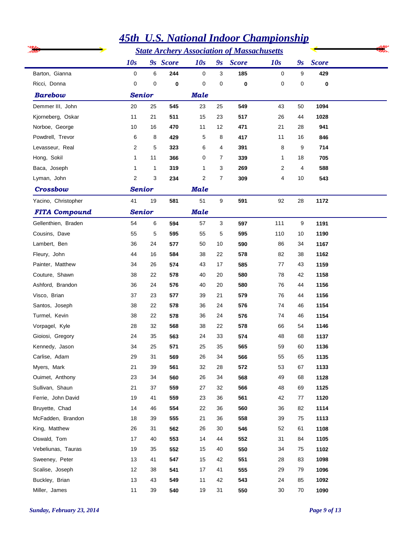|                      |               |    |          |             |                           | <b>State Archery Association of Massachusetts</b> |     |                           |              |  |
|----------------------|---------------|----|----------|-------------|---------------------------|---------------------------------------------------|-----|---------------------------|--------------|--|
|                      | 10s           |    | 9s Score | 10s         | $\mathbf{g}_{\mathbf{S}}$ | <b>Score</b>                                      | 10s | $\mathbf{g}_{\mathbf{S}}$ | <b>Score</b> |  |
| Barton, Gianna       | 0             | 6  | 244      | $\mathbf 0$ | 3                         | 185                                               | 0   | 9                         | 429          |  |
| Ricci, Donna         | 0             | 0  | 0        | 0           | 0                         | 0                                                 | 0   | 0                         | $\bf{0}$     |  |
| <b>Barebow</b>       | <b>Senior</b> |    |          | <b>Male</b> |                           |                                                   |     |                           |              |  |
| Demmer III, John     | 20            | 25 | 545      | 23          | 25                        | 549                                               | 43  | 50                        | 1094         |  |
| Kjorneberg, Oskar    | 11            | 21 | 511      | 15          | 23                        | 517                                               | 26  | 44                        | 1028         |  |
| Norboe, George       | 10            | 16 | 470      | 11          | 12                        | 471                                               | 21  | 28                        | 941          |  |
| Powdrell, Trevor     | 6             | 8  | 429      | 5           | 8                         | 417                                               | 11  | 16                        | 846          |  |
| Levasseur, Real      | 2             | 5  | 323      | 6           | 4                         | 391                                               | 8   | 9                         | 714          |  |
| Hong, Sokil          | 1             | 11 | 366      | 0           | $\overline{7}$            | 339                                               | 1   | 18                        | 705          |  |
| Baca, Joseph         | 1             | 1  | 319      | 1           | 3                         | 269                                               | 2   | 4                         | 588          |  |
| Lyman, John          | 2             | 3  | 234      | 2           | 7                         | 309                                               | 4   | 10                        | 543          |  |
| <b>Crossbow</b>      | <b>Senior</b> |    |          | <b>Male</b> |                           |                                                   |     |                           |              |  |
| Yacino, Christopher  | 41            | 19 | 581      | 51          | 9                         | 591                                               | 92  | 28                        | 1172         |  |
| <b>FITA Compound</b> | <b>Senior</b> |    |          | <b>Male</b> |                           |                                                   |     |                           |              |  |
| Gellenthien, Braden  | 54            | 6  | 594      | 57          | 3                         | 597                                               | 111 | 9                         | 1191         |  |
| Cousins, Dave        | 55            | 5  | 595      | 55          | 5                         | 595                                               | 110 | 10                        | 1190         |  |
| Lambert, Ben         | 36            | 24 | 577      | 50          | 10                        | 590                                               | 86  | 34                        | 1167         |  |
| Fleury, John         | 44            | 16 | 584      | 38          | 22                        | 578                                               | 82  | 38                        | 1162         |  |
| Painter, Matthew     | 34            | 26 | 574      | 43          | 17                        | 585                                               | 77  | 43                        | 1159         |  |
| Couture, Shawn       | 38            | 22 | 578      | 40          | 20                        | 580                                               | 78  | 42                        | 1158         |  |
| Ashford, Brandon     | 36            | 24 | 576      | 40          | 20                        | 580                                               | 76  | 44                        | 1156         |  |
| Visco, Brian         | 37            | 23 | 577      | 39          | 21                        | 579                                               | 76  | 44                        | 1156         |  |
| Santos, Joseph       | 38            | 22 | 578      | 36          | 24                        | 576                                               | 74  | 46                        | 1154         |  |
| Turmel, Kevin        | 38            | 22 | 578      | 36          | 24                        | 576                                               | 74  | 46                        | 1154         |  |
| Vorpagel, Kyle       | 28            | 32 | 568      | 38          | 22                        | 578                                               | 66  | 54                        | 1146         |  |
| Gioiosi, Gregory     | 24            | 35 | 563      | 24          | 33                        | 574                                               | 48  | 68                        | 1137         |  |
| Kennedy, Jason       | 34            | 25 | 571      | 25          | 35                        | 565                                               | 59  | 60                        | 1136         |  |
| Carlise, Adam        | 29            | 31 | 569      | 26          | 34                        | 566                                               | 55  | 65                        | 1135         |  |
| Myers, Mark          | 21            | 39 | 561      | 32          | 28                        | 572                                               | 53  | 67                        | 1133         |  |
| Ouimet, Anthony      | 23            | 34 | 560      | 26          | 34                        | 568                                               | 49  | 68                        | 1128         |  |
| Sullivan, Shaun      | 21            | 37 | 559      | 27          | 32                        | 566                                               | 48  | 69                        | 1125         |  |
| Ferrie, John David   | 19            | 41 | 559      | 23          | 36                        | 561                                               | 42  | 77                        | 1120         |  |
| Bruyette, Chad       | 14            | 46 | 554      | 22          | 36                        | 560                                               | 36  | 82                        | 1114         |  |
| McFadden, Brandon    | 18            | 39 | 555      | 21          | 36                        | 558                                               | 39  | 75                        | 1113         |  |
| King, Matthew        | 26            | 31 | 562      | 26          | 30                        | 546                                               | 52  | 61                        | 1108         |  |
| Oswald, Tom          | 17            | 40 | 553      | 14          | 44                        | 552                                               | 31  | 84                        | 1105         |  |
| Vebeliunas, Tauras   | 19            | 35 | 552      | 15          | 40                        | 550                                               | 34  | 75                        | 1102         |  |
| Sweeney, Peter       | 13            | 41 | 547      | 15          | 42                        | 551                                               | 28  | 83                        | 1098         |  |
| Scalise, Joseph      | 12            | 38 | 541      | 17          | 41                        | 555                                               | 29  | 79                        | 1096         |  |
| Buckley, Brian       | 13            | 43 | 549      | 11          | 42                        | 543                                               | 24  | 85                        | 1092         |  |
| Miller, James        | 11            | 39 | 540      | 19          | 31                        | 550                                               | 30  | 70                        | 1090         |  |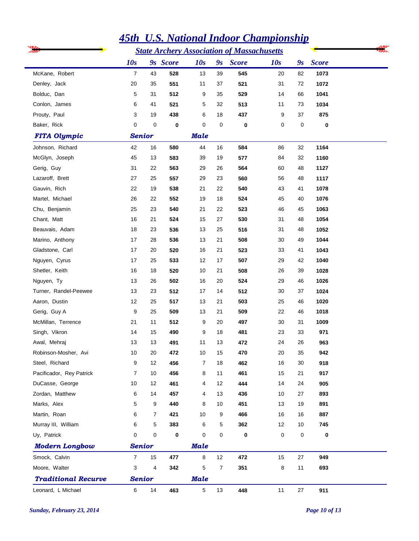|                            | <u>45th U.S. National Indoor Championship</u> |                |          |                |                |                                                   |     |                           |              |  |  |  |
|----------------------------|-----------------------------------------------|----------------|----------|----------------|----------------|---------------------------------------------------|-----|---------------------------|--------------|--|--|--|
|                            |                                               |                |          |                |                | <b>State Archery Association of Massachusetts</b> |     |                           |              |  |  |  |
|                            | 10s                                           |                | 9s Score | 10s            | 9s             | <b>Score</b>                                      | 10s | $\mathbf{g}_{\mathbf{S}}$ | <b>Score</b> |  |  |  |
| McKane, Robert             | $\overline{7}$                                | 43             | 528      | 13             | 39             | 545                                               | 20  | 82                        | 1073         |  |  |  |
| Denley, Jack               | 20                                            | 35             | 551      | 11             | 37             | 521                                               | 31  | 72                        | 1072         |  |  |  |
| Bolduc, Dan                | 5                                             | 31             | 512      | 9              | 35             | 529                                               | 14  | 66                        | 1041         |  |  |  |
| Conlon, James              | 6                                             | 41             | 521      | 5              | 32             | 513                                               | 11  | 73                        | 1034         |  |  |  |
| Prouty, Paul               | 3                                             | 19             | 438      | 6              | 18             | 437                                               | 9   | 37                        | 875          |  |  |  |
| Baker, Rick                | $\mathbf 0$                                   | $\mathbf 0$    | 0        | 0              | 0              | 0                                                 | 0   | 0                         | 0            |  |  |  |
| <b>FITA Olympic</b>        | <b>Senior</b>                                 |                |          | <b>Male</b>    |                |                                                   |     |                           |              |  |  |  |
| Johnson, Richard           | 42                                            | 16             | 580      | 44             | 16             | 584                                               | 86  | 32                        | 1164         |  |  |  |
| McGlyn, Joseph             | 45                                            | 13             | 583      | 39             | 19             | 577                                               | 84  | 32                        | 1160         |  |  |  |
| Gerig, Guy                 | 31                                            | 22             | 563      | 29             | 26             | 564                                               | 60  | 48                        | 1127         |  |  |  |
| Lazaroff, Brett            | 27                                            | 25             | 557      | 29             | 23             | 560                                               | 56  | 48                        | 1117         |  |  |  |
| Gauvin, Rich               | 22                                            | 19             | 538      | 21             | 22             | 540                                               | 43  | 41                        | 1078         |  |  |  |
| Martel, Michael            | 26                                            | 22             | 552      | 19             | 18             | 524                                               | 45  | 40                        | 1076         |  |  |  |
| Chu, Benjamin              | 25                                            | 23             | 540      | 21             | 22             | 523                                               | 46  | 45                        | 1063         |  |  |  |
| Chant, Matt                | 16                                            | 21             | 524      | 15             | 27             | 530                                               | 31  | 48                        | 1054         |  |  |  |
| Beauvais, Adam             | 18                                            | 23             | 536      | 13             | 25             | 516                                               | 31  | 48                        | 1052         |  |  |  |
| Marino, Anthony            | 17                                            | 28             | 536      | 13             | 21             | 508                                               | 30  | 49                        | 1044         |  |  |  |
| Gladstone, Carl            | 17                                            | 20             | 520      | 16             | 21             | 523                                               | 33  | 41                        | 1043         |  |  |  |
| Nguyen, Cyrus              | 17                                            | 25             | 533      | 12             | 17             | 507                                               | 29  | 42                        | 1040         |  |  |  |
| Shetler, Keith             | 16                                            | 18             | 520      | 10             | 21             | 508                                               | 26  | 39                        | 1028         |  |  |  |
| Nguyen, Ty                 | 13                                            | 26             | 502      | 16             | 20             | 524                                               | 29  | 46                        | 1026         |  |  |  |
| Turner, Randel-Peewee      | 13                                            | 23             | 512      | 17             | 14             | 512                                               | 30  | 37                        | 1024         |  |  |  |
| Aaron, Dustin              | 12                                            | 25             | 517      | 13             | 21             | 503                                               | 25  | 46                        | 1020         |  |  |  |
| Gerig, Guy A               | 9                                             | 25             | 509      | 13             | 21             | 509                                               | 22  | 46                        | 1018         |  |  |  |
| McMillan, Terrence         | 21                                            | 11             | 512      | 9              | 20             | 497                                               | 30  | 31                        | 1009         |  |  |  |
| Singh, Vikron              | 14                                            | 15             | 490      | 9              | 18             | 481                                               | 23  | 33                        | 971          |  |  |  |
| Awal, Mehraj               | 13                                            | 13             | 491      | 11             | 13             | 472                                               | 24  | 26                        | 963          |  |  |  |
| Robinson-Mosher, Avi       | 10 <sup>1</sup>                               | 20             | 472      | 10             | 15             | 470                                               | 20  | 35                        | 942          |  |  |  |
| Steel, Richard             | 9                                             | 12             | 456      | $\overline{7}$ | 18             | 462                                               | 16  | 30                        | 918          |  |  |  |
| Pacificador, Rey Patrick   | $\overline{7}$                                | 10             | 456      | 8              | 11             | 461                                               | 15  | 21                        | 917          |  |  |  |
| DuCasse, George            | 10                                            | 12             | 461      | 4              | 12             | 444                                               | 14  | 24                        | 905          |  |  |  |
| Zordan, Matthew            | 6                                             | 14             | 457      | 4              | 13             | 436                                               | 10  | 27                        | 893          |  |  |  |
| Marks, Alex                | 5                                             | 9              | 440      | 8              | 10             | 451                                               | 13  | 19                        | 891          |  |  |  |
| Martin, Roan               | 6                                             | $\overline{7}$ | 421      | 10             | 9              | 466                                               | 16  | 16                        | 887          |  |  |  |
| Murray III, William        | 6                                             | 5              | 383      | 6              | 5              | 362                                               | 12  | 10                        | 745          |  |  |  |
| Uy, Patrick                | $\mathbf 0$                                   | 0              | 0        | 0              | 0              | 0                                                 | 0   | 0                         | $\pmb{0}$    |  |  |  |
| <b>Modern Longbow</b>      | <b>Senior</b>                                 |                |          | <b>Male</b>    |                |                                                   |     |                           |              |  |  |  |
| Smock, Calvin              | $\overline{7}$                                | 15             | 477      | 8              | 12             | 472                                               | 15  | 27                        | 949          |  |  |  |
| Moore, Walter              | 3                                             | 4              | 342      | 5              | $\overline{7}$ | 351                                               | 8   | 11                        | 693          |  |  |  |
| <b>Traditional Recurve</b> | <b>Senior</b>                                 |                |          | <b>Male</b>    |                |                                                   |     |                           |              |  |  |  |
| Leonard, L Michael         | 6                                             | 14             | 463      | 5              | 13             | 448                                               | 11  | 27                        | 911          |  |  |  |

*Sunday, February 23, 2014 Page 10 of 13*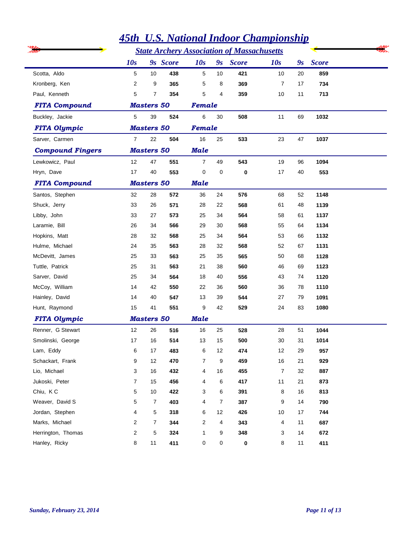|                         | <b>State Archery Association of Massachusetts</b> |                   |          |                     |                |              |                |                           |              |  |
|-------------------------|---------------------------------------------------|-------------------|----------|---------------------|----------------|--------------|----------------|---------------------------|--------------|--|
|                         | 10s                                               |                   | 9s Score | 10s                 | 9s             | <b>Score</b> | 10s            | $\mathbf{g}_{\mathbf{S}}$ | <b>Score</b> |  |
| Scotta, Aldo            | 5                                                 | 10                | 438      | 5                   | 10             | 421          | 10             | 20                        | 859          |  |
| Kronberg, Ken           | $\overline{2}$                                    | 9                 | 365      | 5                   | 8              | 369          | 7              | 17                        | 734          |  |
| Paul, Kenneth           | 5                                                 | 7                 | 354      | 5                   | 4              | 359          | 10             | 11                        | 713          |  |
| <b>FITA Compound</b>    |                                                   | <b>Masters 50</b> |          | Female              |                |              |                |                           |              |  |
| Buckley, Jackie         | 5                                                 | 39                | 524      | 6                   | 30             | 508          | 11             | 69                        | 1032         |  |
| <b>FITA Olympic</b>     |                                                   | <b>Masters 50</b> |          | Female              |                |              |                |                           |              |  |
| Sarver, Carmen          | $\overline{7}$                                    | 22                | 504      | 16                  | 25             | 533          | 23             | 47                        | 1037         |  |
| <b>Compound Fingers</b> |                                                   | <b>Masters 50</b> |          | <b>Male</b>         |                |              |                |                           |              |  |
| Lewkowicz, Paul         | 12                                                | 47                | 551      | $\overline{7}$      | 49             | 543          | 19             | 96                        | 1094         |  |
| Hryn, Dave              | 17                                                | 40                | 553      | 0                   | 0              | 0            | 17             | 40                        | 553          |  |
| <b>FITA Compound</b>    |                                                   | <b>Masters 50</b> |          | <b>Male</b>         |                |              |                |                           |              |  |
| Santos, Stephen         | 32                                                | 28                | 572      | 36                  | 24             | 576          | 68             | 52                        | 1148         |  |
| Shuck, Jerry            | 33                                                | 26                | 571      | 28                  | 22             | 568          | 61             | 48                        | 1139         |  |
| Libby, John             | 33                                                | 27                | 573      | 25                  | 34             | 564          | 58             | 61                        | 1137         |  |
| Laramie, Bill           | 26                                                | 34                | 566      | 29                  | 30             | 568          | 55             | 64                        | 1134         |  |
| Hopkins, Matt           | 28                                                | 32                | 568      | 25                  | 34             | 564          | 53             | 66                        | 1132         |  |
| Hulme, Michael          | 24                                                | 35                | 563      | 28                  | 32             | 568          | 52             | 67                        | 1131         |  |
| McDevitt, James         | 25                                                | 33                | 563      | 25                  | 35             | 565          | 50             | 68                        | 1128         |  |
| Tuttle, Patrick         | 25                                                | 31                | 563      | 21                  | 38             | 560          | 46             | 69                        | 1123         |  |
| Sarver, David           | 25                                                | 34                | 564      | 18                  | 40             | 556          | 43             | 74                        | 1120         |  |
| McCoy, William          | 14                                                | 42                | 550      | 22                  | 36             | 560          | 36             | 78                        | 1110         |  |
| Hainley, David          | 14                                                | 40                | 547      | 13                  | 39             | 544          | 27             | 79                        | 1091         |  |
| Hunt, Raymond           | 15                                                | 41                | 551      | 9                   | 42             | 529          | 24             | 83                        | 1080         |  |
| <b>FITA Olympic</b>     |                                                   | <b>Masters 50</b> |          | <b>Male</b>         |                |              |                |                           |              |  |
| Renner, G Stewart       | 12                                                | 26                | 516      | 16                  | 25             | 528          | 28             | 51                        | 1044         |  |
| Smolinski, George       | 17                                                | 16                | 514      | 13                  | 15             | 500          | 30             | 31                        | 1014         |  |
| Lam, Eddy               | 6                                                 | 17                | 483      | 6                   | 12             | 474          | 12             | 29                        | 957          |  |
| Schackart, Frank        | 9                                                 | 12                | 470      | $\overline{7}$      | 9              | 459          | $16\,$         | 21                        | 929          |  |
| Lio, Michael            | 3                                                 | 16                | 432      | 4                   | $16$           | 455          | $\overline{7}$ | 32                        | 887          |  |
| Jukoski, Peter          | $\overline{7}$                                    | 15                | 456      | 4                   | 6              | 417          | 11             | 21                        | 873          |  |
| Chiu, KC                | 5                                                 | 10                | 422      | 3                   | 6              | 391          | 8              | 16                        | 813          |  |
| Weaver, David S         | 5                                                 | $\overline{7}$    | 403      | 4                   | $\overline{7}$ | 387          | 9              | 14                        | 790          |  |
| Jordan, Stephen         | 4                                                 | 5                 | 318      | 6                   | 12             | 426          | 10             | 17                        | 744          |  |
| Marks, Michael          | 2                                                 | $\overline{7}$    | 344      | 2                   | 4              | 343          | 4              | 11                        | 687          |  |
| Herrington, Thomas      | $\overline{c}$                                    | 5                 | 324      | 1                   | 9              | 348          | 3              | 14                        | 672          |  |
| Hanley, Ricky           | 8                                                 | 11                | 411      | $\mathsf{O}\xspace$ | $\mathbf 0$    | 0            | 8              | 11                        | 411          |  |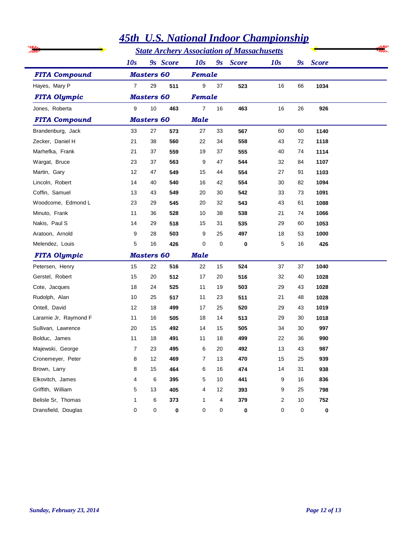|                       |                |                   |          |             |    | <b>45th U.S. National Indoor Championship</b>     |     |    |              |
|-----------------------|----------------|-------------------|----------|-------------|----|---------------------------------------------------|-----|----|--------------|
|                       |                |                   |          |             |    | <b>State Archery Association of Massachusetts</b> |     |    |              |
|                       | 10s            |                   | 9s Score | 10s         |    | 9s Score                                          | 10s | 9s | <b>Score</b> |
| <b>FITA Compound</b>  |                | <b>Masters 60</b> |          | Female      |    |                                                   |     |    |              |
| Hayes, Mary P         | $\overline{7}$ | 29                | 511      | 9           | 37 | 523                                               | 16  | 66 | 1034         |
| <b>FITA Olympic</b>   |                | <b>Masters 60</b> |          | Female      |    |                                                   |     |    |              |
| Jones, Roberta        | 9              | $10$              | 463      | 7           | 16 | 463                                               | 16  | 26 | 926          |
| <b>FITA Compound</b>  |                | <b>Masters 60</b> |          | <b>Male</b> |    |                                                   |     |    |              |
| Brandenburg, Jack     | 33             | 27                | 573      | 27          | 33 | 567                                               | 60  | 60 | 1140         |
| Zecker, Daniel H      | 21             | 38                | 560      | 22          | 34 | 558                                               | 43  | 72 | 1118         |
| Marhefka, Frank       | 21             | 37                | 559      | 19          | 37 | 555                                               | 40  | 74 | 1114         |
| Wargat, Bruce         | 23             | 37                | 563      | 9           | 47 | 544                                               | 32  | 84 | 1107         |
| Martin, Gary          | 12             | 47                | 549      | 15          | 44 | 554                                               | 27  | 91 | 1103         |
| Lincoln, Robert       | 14             | 40                | 540      | 16          | 42 | 554                                               | 30  | 82 | 1094         |
| Coffin, Samuel        | 13             | 43                | 549      | 20          | 30 | 542                                               | 33  | 73 | 1091         |
| Woodcome, Edmond L    | 23             | 29                | 545      | 20          | 32 | 543                                               | 43  | 61 | 1088         |
| Minuto, Frank         | 11             | 36                | 528      | 10          | 38 | 538                                               | 21  | 74 | 1066         |
| Nakis, Paul S         | 14             | 29                | 518      | 15          | 31 | 535                                               | 29  | 60 | 1053         |
| Aratoon, Arnold       | 9              | 28                | 503      | 9           | 25 | 497                                               | 18  | 53 | 1000         |
| Melendez, Louis       | 5              | 16                | 426      | 0           | 0  | 0                                                 | 5   | 16 | 426          |
| <b>FITA Olympic</b>   |                | <b>Masters 60</b> |          | <b>Male</b> |    |                                                   |     |    |              |
| Petersen, Henry       | 15             | 22                | 516      | 22          | 15 | 524                                               | 37  | 37 | 1040         |
| Gerstel, Robert       | 15             | 20                | 512      | 17          | 20 | 516                                               | 32  | 40 | 1028         |
| Cote, Jacques         | 18             | 24                | 525      | 11          | 19 | 503                                               | 29  | 43 | 1028         |
| Rudolph, Alan         | 10             | 25                | 517      | 11          | 23 | 511                                               | 21  | 48 | 1028         |
| Ontell, David         | 12             | 18                | 499      | 17          | 25 | 520                                               | 29  | 43 | 1019         |
| Laramie Jr, Raymond F | 11             | 16                | 505      | 18          | 14 | 513                                               | 29  | 30 | 1018         |
| Sullivan, Lawrence    | 20             | 15                | 492      | 14          | 15 | 505                                               | 34  | 30 | 997          |
| Bolduc, James         | 11             | 18                | 491      | 11          | 18 | 499                                               | 22  | 36 | 990          |
| Majewski, George      | 7              | 23                | 495      | 6           | 20 | 492                                               | 13  | 43 | 987          |
| Cronemeyer, Peter     | 8              | 12                | 469      | 7           | 13 | 470                                               | 15  | 25 | 939          |
| Brown, Larry          | 8              | 15                | 464      | 6           | 16 | 474                                               | 14  | 31 | 938          |
| Elkovitch, James      | 4              | 6                 | 395      | 5           | 10 | 441                                               | 9   | 16 | 836          |
| Griffith, William     | 5              | 13                | 405      | 4           | 12 | 393                                               | 9   | 25 | 798          |
| Belisle Sr, Thomas    | 1              | 6                 | 373      | 1           | 4  | 379                                               | 2   | 10 | 752          |
| Dransfield, Douglas   | 0              | 0                 | 0        | 0           | 0  | 0                                                 | 0   | 0  | 0            |